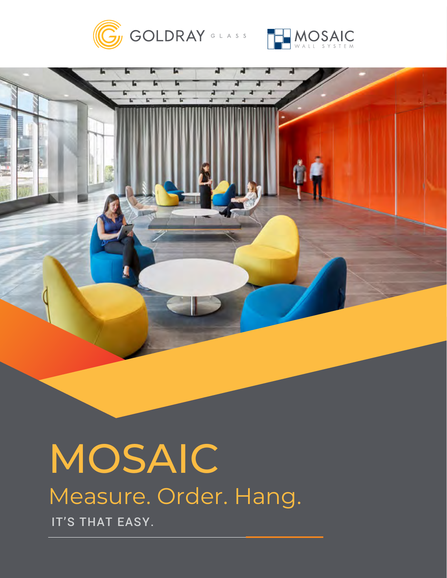





# **MOSAIC** Measure. Order. Hang. IT'S THAT EASY.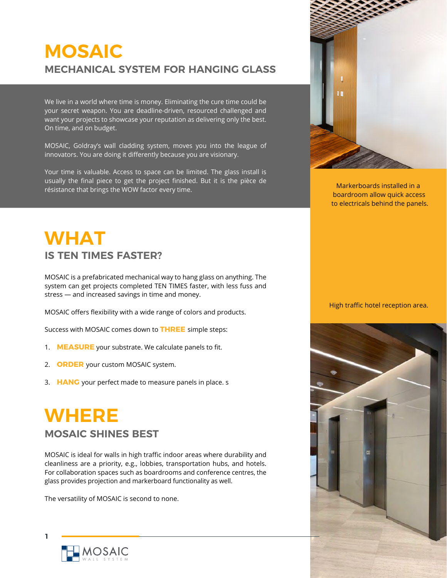# **MOSAIC MECHANICAL SYSTEM FOR HANGING GLASS**

We live in a world where time is money. Eliminating the cure time could be your secret weapon. You are deadline-driven, resourced challenged and want your projects to showcase your reputation as delivering only the best. On time, and on budget.

MOSAIC, Goldray's wall cladding system, moves you into the league of innovators. You are doing it differently because you are visionary.

Your time is valuable. Access to space can be limited. The glass install is usually the final piece to get the project finished. But it is the pièce de résistance that brings the WOW factor every time.



Markerboards installed in a boardroom allow quick access to electricals behind the panels.

# **WHAT IS TEN TIMES FASTER?**

MOSAIC is a prefabricated mechanical way to hang glass on anything. The system can get projects completed TEN TIMES faster, with less fuss and stress — and increased savings in time and money.

MOSAIC offers flexibility with a wide range of colors and products.

Success with MOSAIC comes down to **THREE** simple steps:

- 1. **MEASURE** your substrate. We calculate panels to fit.
- 2. **ORDER** your custom MOSAIC system.
- 3. **HANG** your perfect made to measure panels in place. s

# **WHERE MOSAIC SHINES BEST**

MOSAIC is ideal for walls in high traffic indoor areas where durability and cleanliness are a priority, e.g., lobbies, transportation hubs, and hotels. For collaboration spaces such as boardrooms and conference centres, the glass provides projection and markerboard functionality as well.

The versatility of MOSAIC is second to none.

#### High traffic hotel reception area.





**1**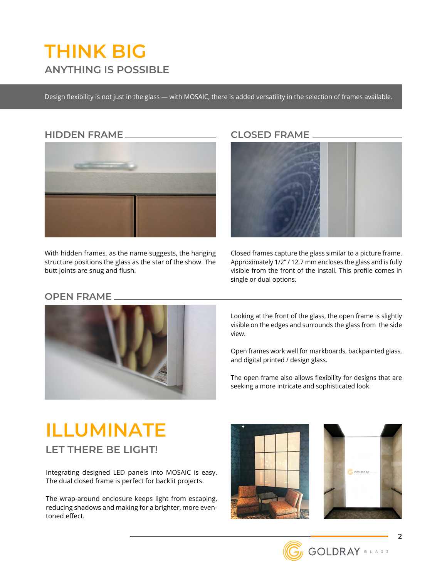# **THINK BIG ANYTHING IS POSSIBLE**

Design flexibility is not just in the glass — with MOSAIC, there is added versatility in the selection of frames available.

### **HIDDEN FRAME**



With hidden frames, as the name suggests, the hanging structure positions the glass as the star of the show. The butt joints are snug and flush.

### **CLOSED FRAME**



Closed frames capture the glass similar to a picture frame. Approximately 1/2" / 12.7 mm encloses the glass and is fully visible from the front of the install. This profile comes in single or dual options.

#### **OPEN FRAME**



Looking at the front of the glass, the open frame is slightly visible on the edges and surrounds the glass from the side view.

Open frames work well for markboards, backpainted glass, and digital printed / design glass.

The open frame also allows flexibility for designs that are seeking a more intricate and sophisticated look.

### **ILLUMINATE LET THERE BE LIGHT!**

Integrating designed LED panels into MOSAIC is easy. The dual closed frame is perfect for backlit projects.

The wrap-around enclosure keeps light from escaping, reducing shadows and making for a brighter, more eventoned effect.





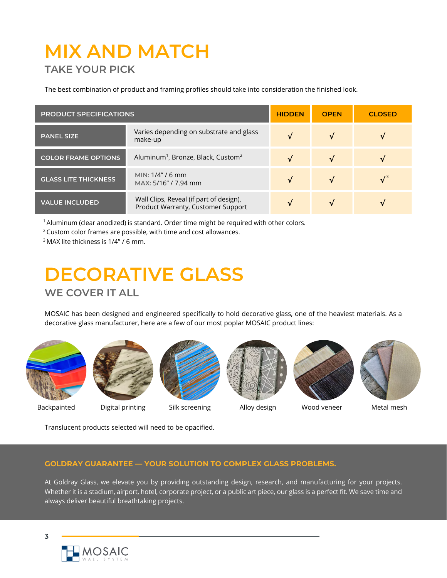# **MIX AND MATCH TAKE YOUR PICK**

The best combination of product and framing profiles should take into consideration the finished look.

| <b>PRODUCT SPECIFICATIONS</b> |                                                                               | <b>HIDDEN</b> | <b>OPEN</b> | <b>CLOSED</b> |
|-------------------------------|-------------------------------------------------------------------------------|---------------|-------------|---------------|
| <b>PANEL SIZE</b>             | Varies depending on substrate and glass<br>make-up                            | $\sqrt{}$     |             |               |
| <b>COLOR FRAME OPTIONS</b>    | Aluminum <sup>1</sup> , Bronze, Black, Custom <sup>2</sup>                    |               | $\sqrt{ }$  |               |
| <b>GLASS LITE THICKNESS</b>   | MIN: $1/4" / 6$ mm<br>MAX: 5/16" / 7.94 mm                                    |               |             | $\sqrt{3}$    |
| <b>VALUE INCLUDED</b>         | Wall Clips, Reveal (if part of design),<br>Product Warranty, Customer Support |               |             |               |

 $1$  Aluminum (clear anodized) is standard. Order time might be required with other colors.

2 Custom color frames are possible, with time and cost allowances.

3 MAX lite thickness is 1/4" / 6 mm.

# **DECORATIVE GLASS WE COVER IT ALL**

MOSAIC has been designed and engineered specifically to hold decorative glass, one of the heaviest materials. As a decorative glass manufacturer, here are a few of our most poplar MOSAIC product lines:









Backpainted Digital printing Silk screening Alloy design Wood veneer Metal mesh

Translucent products selected will need to be opacified.

#### **GOLDRAY GUARANTEE — YOUR SOLUTION TO COMPLEX GLASS PROBLEMS.**

At Goldray Glass, we elevate you by providing outstanding design, research, and manufacturing for your projects. Whether it is a stadium, airport, hotel, corporate project, or a public art piece, our glass is a perfect fit. We save time and always deliver beautiful breathtaking projects.

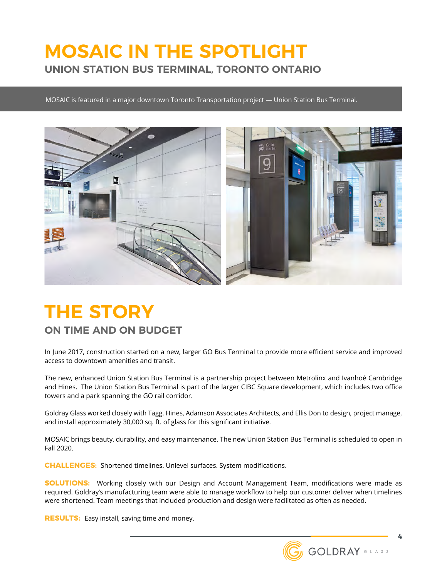### **MOSAIC IN THE SPOTLIGHT UNION STATION BUS TERMINAL, TORONTO ONTARIO**

MOSAIC is featured in a major downtown Toronto Transportation project — Union Station Bus Terminal.



# **THE STORY**

### **ON TIME AND ON BUDGET**

In June 2017, construction started on a new, larger GO Bus Terminal to provide more efficient service and improved access to downtown amenities and transit.

The new, enhanced Union Station Bus Terminal is a partnership project between Metrolinx and Ivanhoé Cambridge and Hines. The Union Station Bus Terminal is part of the larger CIBC Square development, which includes two office towers and a park spanning the GO rail corridor.

Goldray Glass worked closely with Tagg, Hines, Adamson Associates Architects, and Ellis Don to design, project manage, and install approximately 30,000 sq. ft. of glass for this significant initiative.

MOSAIC brings beauty, durability, and easy maintenance. The new Union Station Bus Terminal is scheduled to open in Fall 2020.

**CHALLENGES:** Shortened timelines. Unlevel surfaces. System modifications.

**SOLUTIONS:** Working closely with our Design and Account Management Team, modifications were made as required. Goldray's manufacturing team were able to manage workflow to help our customer deliver when timelines were shortened. Team meetings that included production and design were facilitated as often as needed.

**RESULTS:** Easy install, saving time and money.

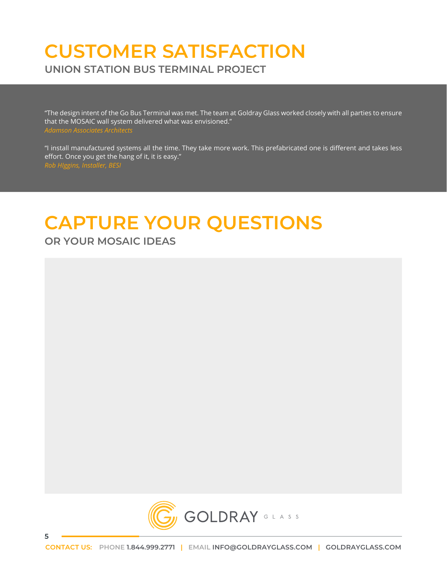### **CUSTOMER SATISFACTION UNION STATION BUS TERMINAL PROJECT**

"The design intent of the Go Bus Terminal was met. The team at Goldray Glass worked closely with all parties to ensure that the MOSAIC wall system delivered what was envisioned."

"I install manufactured systems all the time. They take more work. This prefabricated one is different and takes less effort. Once you get the hang of it, it is easy."

# **CAPTURE YOUR QUESTIONS OR YOUR MOSAIC IDEAS**



**5**